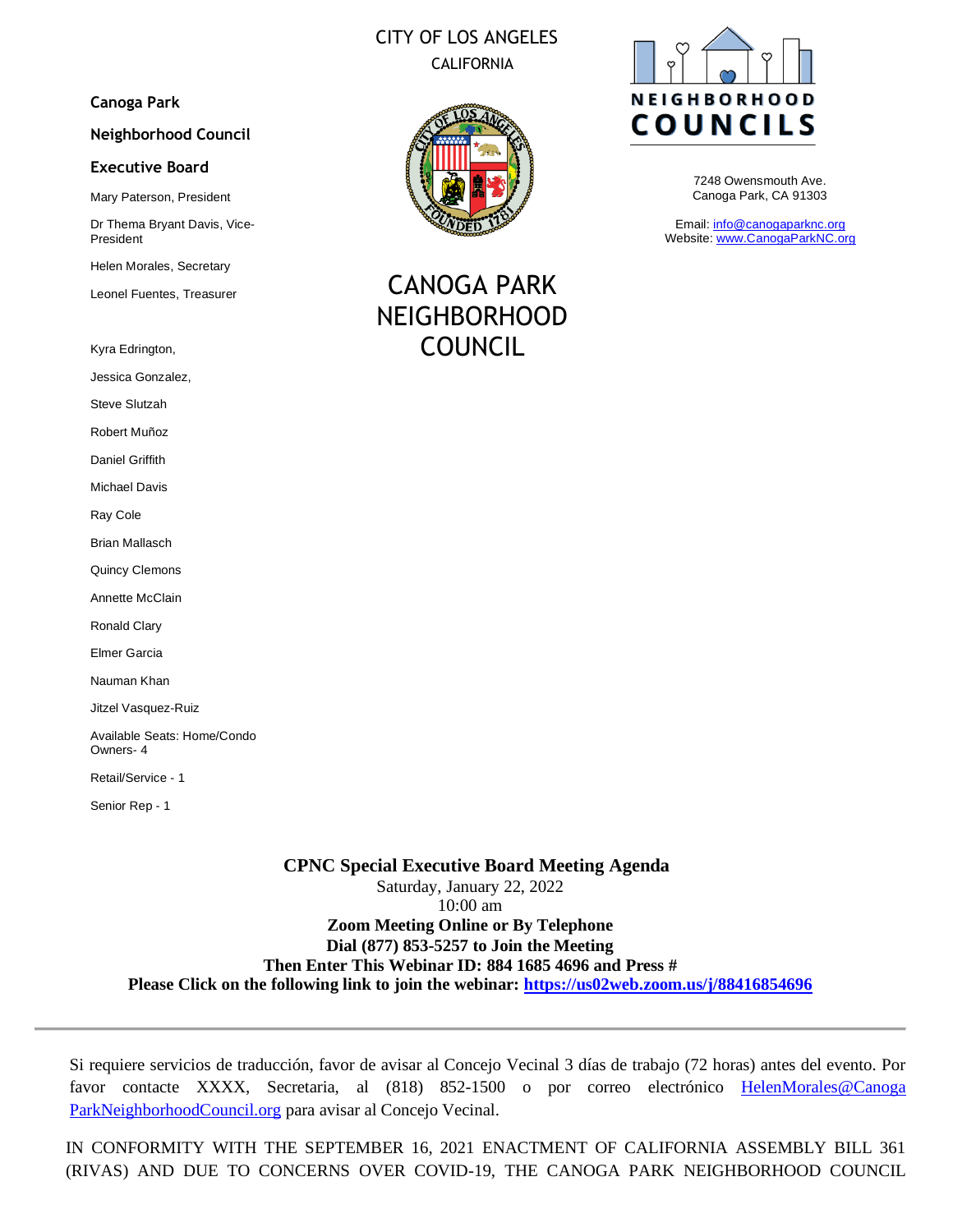# CITY OF LOS ANGELES CALIFORNIA

### **Canoga Park**

#### **Neighborhood Council**

#### **Executive Board**

Mary Paterson, President

Dr Thema Bryant Davis, Vice-President

Helen Morales, Secretary

Leonel Fuentes, Treasurer

Kyra Edrington,

Jessica Gonzalez,

Steve Slutzah

Robert Muñoz

Daniel Griffith

Michael Davis

Ray Cole

Brian Mallasch

Quincy Clemons

Annette McClain

Ronald Clary

Elmer Garcia

Nauman Khan

Jitzel Vasquez-Ruiz

Available Seats: Home/Condo Owners- 4

Retail/Service - 1

Senior Rep - 1

## **CPNC Special Executive Board Meeting Agenda**  Saturday, January 22, 2022 10:00 am **Zoom Meeting Online or By Telephone Dial (877) 853-5257 to Join the Meeting Then Enter This Webinar ID: 884 1685 4696 and Press # Please Click on the following link to join the webinar:<https://us02web.zoom.us/j/88416854696>**

Si requiere servicios de traducción, favor de avisar al Concejo Vecinal 3 días de trabajo (72 horas) antes del evento. Por favor contacte XXXX, Secretaria, al (818) 852-1500 o por correo electrónico [HelenMorales@Canoga](mailto:HelenMorales@NeighborhoodCouncil.org)  [ParkNeighborhoodCouncil.org](mailto:HelenMorales@NeighborhoodCouncil.org) para avisar al Concejo Vecinal.

IN CONFORMITY WITH THE SEPTEMBER 16, 2021 ENACTMENT OF CALIFORNIA ASSEMBLY BILL 361 (RIVAS) AND DUE TO CONCERNS OVER COVID-19, THE CANOGA PARK NEIGHBORHOOD COUNCIL



CANOGA PARK NEIGHBORHOOD COUNCIL



7248 Owensmouth Ave. Canoga Park, CA 91303

Email: [info@canogaparknc.org](mailto:info@canogaparknc.org) Website[: www.CanogaParkNC.org](http://www.canogaparknc.org/)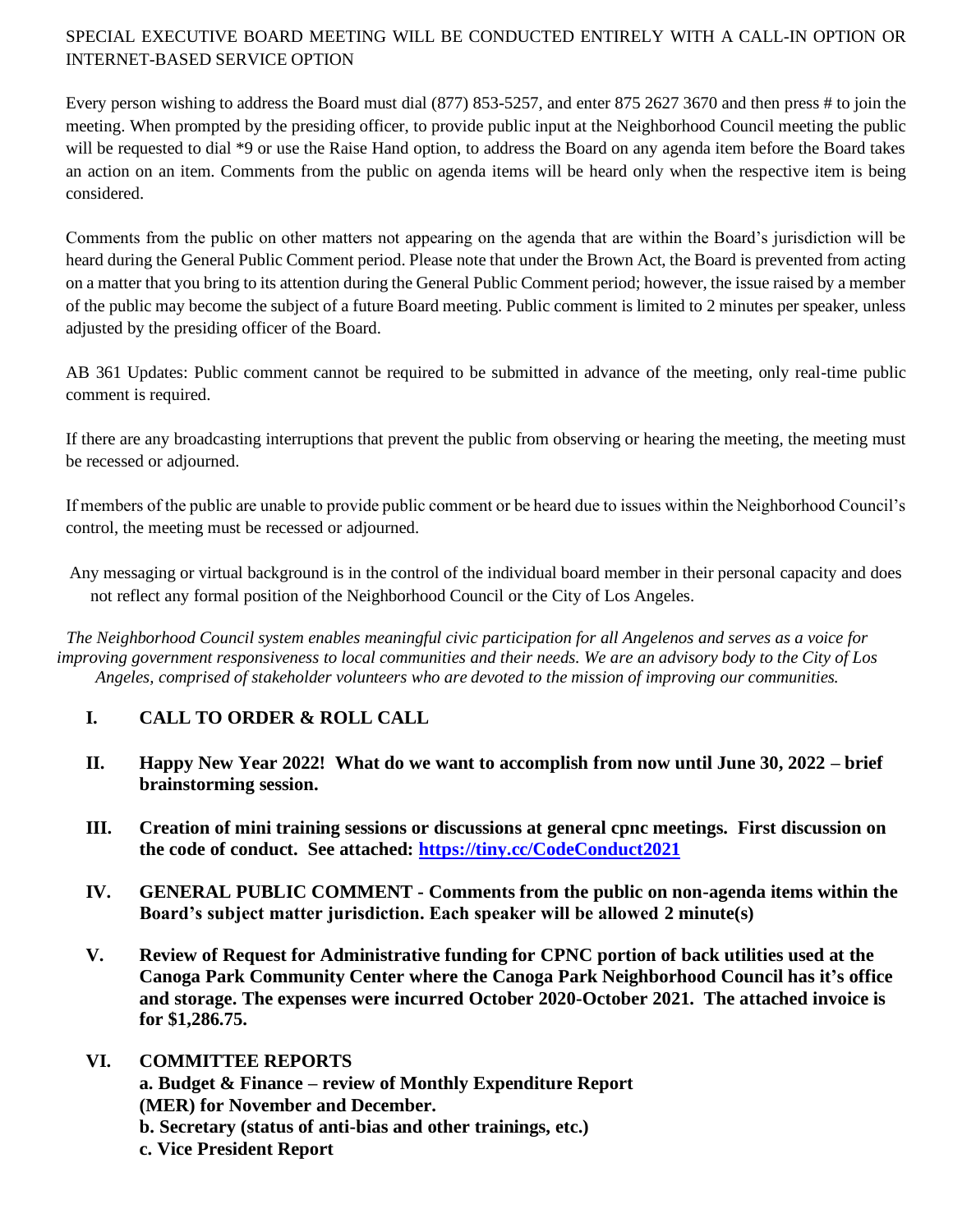## SPECIAL EXECUTIVE BOARD MEETING WILL BE CONDUCTED ENTIRELY WITH A CALL-IN OPTION OR INTERNET-BASED SERVICE OPTION

Every person wishing to address the Board must dial (877) 853-5257, and enter 875 2627 3670 and then press # to join the meeting. When prompted by the presiding officer, to provide public input at the Neighborhood Council meeting the public will be requested to dial \*9 or use the Raise Hand option, to address the Board on any agenda item before the Board takes an action on an item. Comments from the public on agenda items will be heard only when the respective item is being considered.

Comments from the public on other matters not appearing on the agenda that are within the Board's jurisdiction will be heard during the General Public Comment period. Please note that under the Brown Act, the Board is prevented from acting on a matter that you bring to its attention during the General Public Comment period; however, the issue raised by a member of the public may become the subject of a future Board meeting. Public comment is limited to 2 minutes per speaker, unless adjusted by the presiding officer of the Board.

AB 361 Updates: Public comment cannot be required to be submitted in advance of the meeting, only real-time public comment is required.

If there are any broadcasting interruptions that prevent the public from observing or hearing the meeting, the meeting must be recessed or adjourned.

If members of the public are unable to provide public comment or be heard due to issues within the Neighborhood Council's control, the meeting must be recessed or adjourned.

Any messaging or virtual background is in the control of the individual board member in their personal capacity and does not reflect any formal position of the Neighborhood Council or the City of Los Angeles.

*The Neighborhood Council system enables meaningful civic participation for all Angelenos and serves as a voice for improving government responsiveness to local communities and their needs. We are an advisory body to the City of Los Angeles, comprised of stakeholder volunteers who are devoted to the mission of improving our communities.*

## **I. CALL TO ORDER & ROLL CALL**

- **II. Happy New Year 2022! What do we want to accomplish from now until June 30, 2022 – brief brainstorming session.**
- **III. Creation of mini training sessions or discussions at general cpnc meetings. First discussion on the code of conduct. See attached:<https://tiny.cc/CodeConduct2021>**
- **IV. GENERAL PUBLIC COMMENT - Comments from the public on non-agenda items within the Board's subject matter jurisdiction. Each speaker will be allowed 2 minute(s)**
- **V. Review of Request for Administrative funding for CPNC portion of back utilities used at the Canoga Park Community Center where the Canoga Park Neighborhood Council has it's office and storage. The expenses were incurred October 2020-October 2021. The attached invoice is for \$1,286.75.**
- **VI. COMMITTEE REPORTS a. Budget & Finance – review of Monthly Expenditure Report (MER) for November and December. b. Secretary (status of anti-bias and other trainings, etc.) c. Vice President Report**